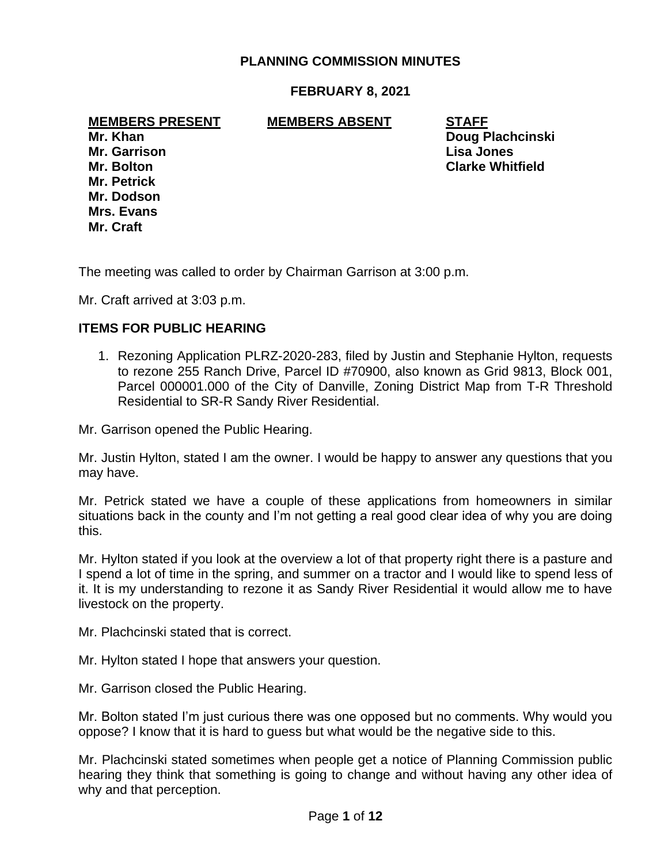## **PLANNING COMMISSION MINUTES**

#### **FEBRUARY 8, 2021**

**MEMBERS PRESENT MEMBERS ABSENT STAFF**

**Mr. Garrison Lisa Jones Mr. Petrick Mr. Dodson Mrs. Evans Mr. Craft**

**Mr. Khan Doug Plachcinski Mr. Bolton Clarke Whitfield**

The meeting was called to order by Chairman Garrison at 3:00 p.m.

Mr. Craft arrived at 3:03 p.m.

#### **ITEMS FOR PUBLIC HEARING**

1. Rezoning Application PLRZ-2020-283, filed by Justin and Stephanie Hylton, requests to rezone 255 Ranch Drive, Parcel ID #70900, also known as Grid 9813, Block 001, Parcel 000001.000 of the City of Danville, Zoning District Map from T-R Threshold Residential to SR-R Sandy River Residential.

Mr. Garrison opened the Public Hearing.

Mr. Justin Hylton, stated I am the owner. I would be happy to answer any questions that you may have.

Mr. Petrick stated we have a couple of these applications from homeowners in similar situations back in the county and I'm not getting a real good clear idea of why you are doing this.

Mr. Hylton stated if you look at the overview a lot of that property right there is a pasture and I spend a lot of time in the spring, and summer on a tractor and I would like to spend less of it. It is my understanding to rezone it as Sandy River Residential it would allow me to have livestock on the property.

Mr. Plachcinski stated that is correct.

Mr. Hylton stated I hope that answers your question.

Mr. Garrison closed the Public Hearing.

Mr. Bolton stated I'm just curious there was one opposed but no comments. Why would you oppose? I know that it is hard to guess but what would be the negative side to this.

Mr. Plachcinski stated sometimes when people get a notice of Planning Commission public hearing they think that something is going to change and without having any other idea of why and that perception.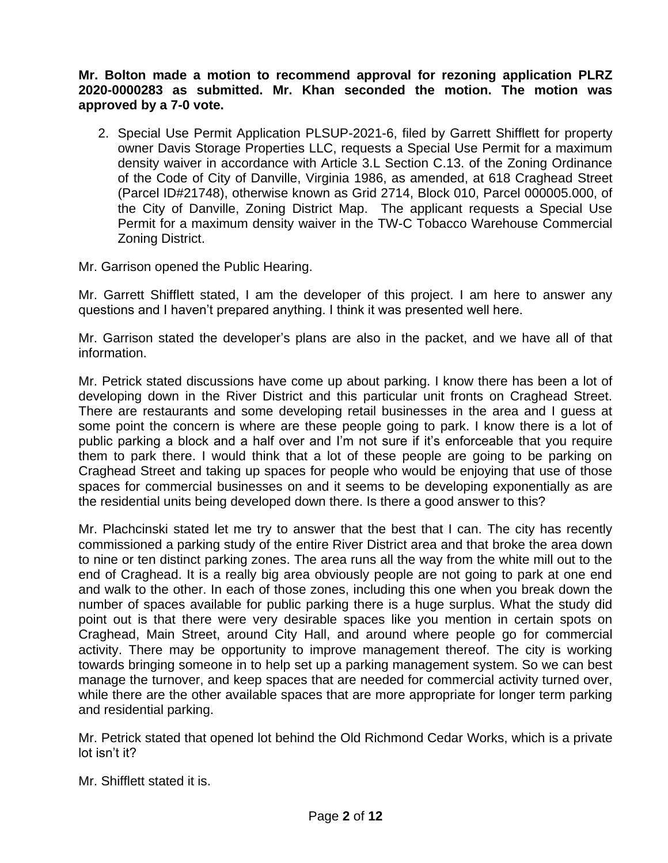**Mr. Bolton made a motion to recommend approval for rezoning application PLRZ 2020-0000283 as submitted. Mr. Khan seconded the motion. The motion was approved by a 7-0 vote.**

2. Special Use Permit Application PLSUP-2021-6, filed by Garrett Shifflett for property owner Davis Storage Properties LLC, requests a Special Use Permit for a maximum density waiver in accordance with Article 3.L Section C.13. of the Zoning Ordinance of the Code of City of Danville, Virginia 1986, as amended, at 618 Craghead Street (Parcel ID#21748), otherwise known as Grid 2714, Block 010, Parcel 000005.000, of the City of Danville, Zoning District Map. The applicant requests a Special Use Permit for a maximum density waiver in the TW-C Tobacco Warehouse Commercial Zoning District.

Mr. Garrison opened the Public Hearing.

Mr. Garrett Shifflett stated, I am the developer of this project. I am here to answer any questions and I haven't prepared anything. I think it was presented well here.

Mr. Garrison stated the developer's plans are also in the packet, and we have all of that information.

Mr. Petrick stated discussions have come up about parking. I know there has been a lot of developing down in the River District and this particular unit fronts on Craghead Street. There are restaurants and some developing retail businesses in the area and I guess at some point the concern is where are these people going to park. I know there is a lot of public parking a block and a half over and I'm not sure if it's enforceable that you require them to park there. I would think that a lot of these people are going to be parking on Craghead Street and taking up spaces for people who would be enjoying that use of those spaces for commercial businesses on and it seems to be developing exponentially as are the residential units being developed down there. Is there a good answer to this?

Mr. Plachcinski stated let me try to answer that the best that I can. The city has recently commissioned a parking study of the entire River District area and that broke the area down to nine or ten distinct parking zones. The area runs all the way from the white mill out to the end of Craghead. It is a really big area obviously people are not going to park at one end and walk to the other. In each of those zones, including this one when you break down the number of spaces available for public parking there is a huge surplus. What the study did point out is that there were very desirable spaces like you mention in certain spots on Craghead, Main Street, around City Hall, and around where people go for commercial activity. There may be opportunity to improve management thereof. The city is working towards bringing someone in to help set up a parking management system. So we can best manage the turnover, and keep spaces that are needed for commercial activity turned over, while there are the other available spaces that are more appropriate for longer term parking and residential parking.

Mr. Petrick stated that opened lot behind the Old Richmond Cedar Works, which is a private lot isn't it?

Mr. Shifflett stated it is.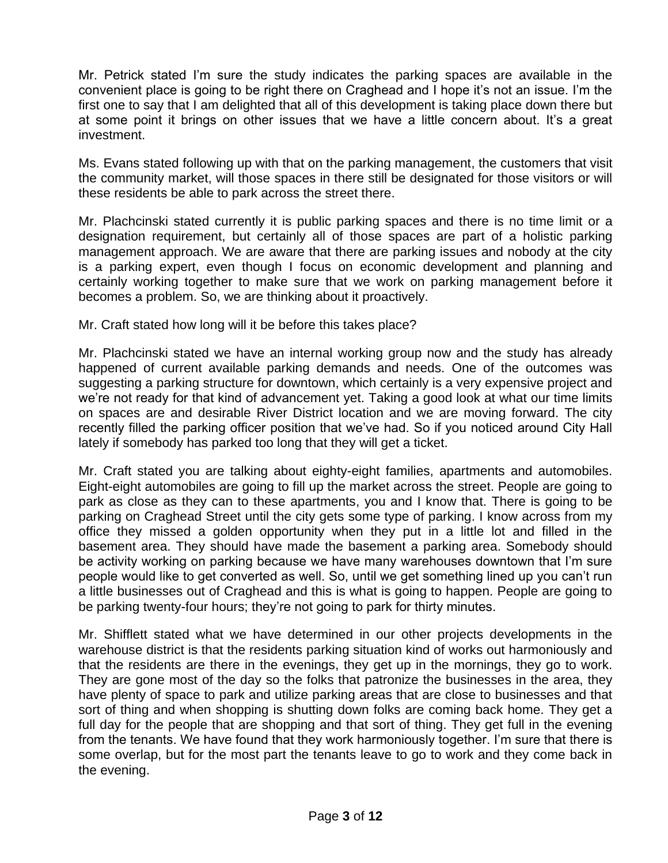Mr. Petrick stated I'm sure the study indicates the parking spaces are available in the convenient place is going to be right there on Craghead and I hope it's not an issue. I'm the first one to say that I am delighted that all of this development is taking place down there but at some point it brings on other issues that we have a little concern about. It's a great investment.

Ms. Evans stated following up with that on the parking management, the customers that visit the community market, will those spaces in there still be designated for those visitors or will these residents be able to park across the street there.

Mr. Plachcinski stated currently it is public parking spaces and there is no time limit or a designation requirement, but certainly all of those spaces are part of a holistic parking management approach. We are aware that there are parking issues and nobody at the city is a parking expert, even though I focus on economic development and planning and certainly working together to make sure that we work on parking management before it becomes a problem. So, we are thinking about it proactively.

Mr. Craft stated how long will it be before this takes place?

Mr. Plachcinski stated we have an internal working group now and the study has already happened of current available parking demands and needs. One of the outcomes was suggesting a parking structure for downtown, which certainly is a very expensive project and we're not ready for that kind of advancement yet. Taking a good look at what our time limits on spaces are and desirable River District location and we are moving forward. The city recently filled the parking officer position that we've had. So if you noticed around City Hall lately if somebody has parked too long that they will get a ticket.

Mr. Craft stated you are talking about eighty-eight families, apartments and automobiles. Eight-eight automobiles are going to fill up the market across the street. People are going to park as close as they can to these apartments, you and I know that. There is going to be parking on Craghead Street until the city gets some type of parking. I know across from my office they missed a golden opportunity when they put in a little lot and filled in the basement area. They should have made the basement a parking area. Somebody should be activity working on parking because we have many warehouses downtown that I'm sure people would like to get converted as well. So, until we get something lined up you can't run a little businesses out of Craghead and this is what is going to happen. People are going to be parking twenty-four hours; they're not going to park for thirty minutes.

Mr. Shifflett stated what we have determined in our other projects developments in the warehouse district is that the residents parking situation kind of works out harmoniously and that the residents are there in the evenings, they get up in the mornings, they go to work. They are gone most of the day so the folks that patronize the businesses in the area, they have plenty of space to park and utilize parking areas that are close to businesses and that sort of thing and when shopping is shutting down folks are coming back home. They get a full day for the people that are shopping and that sort of thing. They get full in the evening from the tenants. We have found that they work harmoniously together. I'm sure that there is some overlap, but for the most part the tenants leave to go to work and they come back in the evening.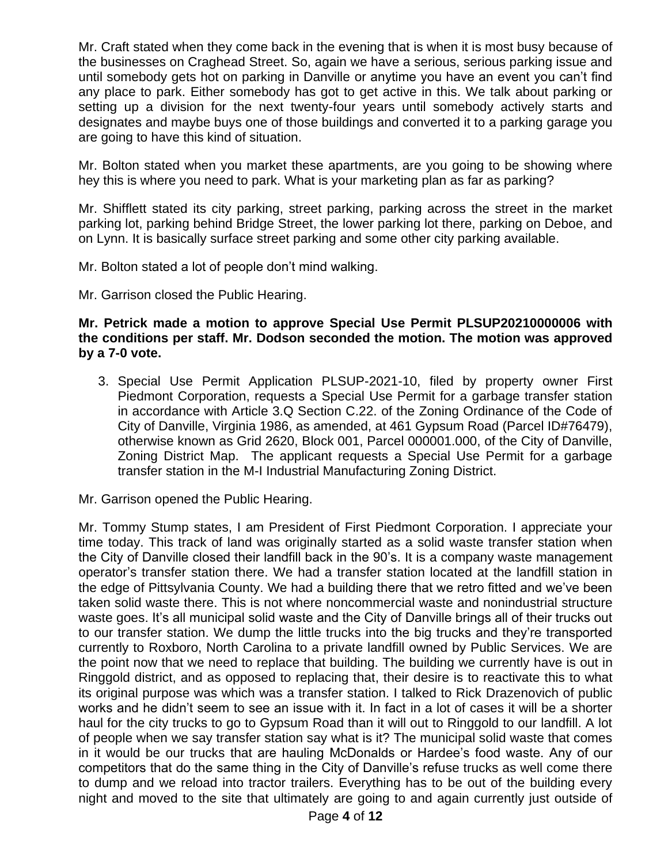Mr. Craft stated when they come back in the evening that is when it is most busy because of the businesses on Craghead Street. So, again we have a serious, serious parking issue and until somebody gets hot on parking in Danville or anytime you have an event you can't find any place to park. Either somebody has got to get active in this. We talk about parking or setting up a division for the next twenty-four years until somebody actively starts and designates and maybe buys one of those buildings and converted it to a parking garage you are going to have this kind of situation.

Mr. Bolton stated when you market these apartments, are you going to be showing where hey this is where you need to park. What is your marketing plan as far as parking?

Mr. Shifflett stated its city parking, street parking, parking across the street in the market parking lot, parking behind Bridge Street, the lower parking lot there, parking on Deboe, and on Lynn. It is basically surface street parking and some other city parking available.

Mr. Bolton stated a lot of people don't mind walking.

Mr. Garrison closed the Public Hearing.

## **Mr. Petrick made a motion to approve Special Use Permit PLSUP20210000006 with the conditions per staff. Mr. Dodson seconded the motion. The motion was approved by a 7-0 vote.**

3. Special Use Permit Application PLSUP-2021-10, filed by property owner First Piedmont Corporation, requests a Special Use Permit for a garbage transfer station in accordance with Article 3.Q Section C.22. of the Zoning Ordinance of the Code of City of Danville, Virginia 1986, as amended, at 461 Gypsum Road (Parcel ID#76479), otherwise known as Grid 2620, Block 001, Parcel 000001.000, of the City of Danville, Zoning District Map. The applicant requests a Special Use Permit for a garbage transfer station in the M-I Industrial Manufacturing Zoning District.

Mr. Garrison opened the Public Hearing.

Mr. Tommy Stump states, I am President of First Piedmont Corporation. I appreciate your time today. This track of land was originally started as a solid waste transfer station when the City of Danville closed their landfill back in the 90's. It is a company waste management operator's transfer station there. We had a transfer station located at the landfill station in the edge of Pittsylvania County. We had a building there that we retro fitted and we've been taken solid waste there. This is not where noncommercial waste and nonindustrial structure waste goes. It's all municipal solid waste and the City of Danville brings all of their trucks out to our transfer station. We dump the little trucks into the big trucks and they're transported currently to Roxboro, North Carolina to a private landfill owned by Public Services. We are the point now that we need to replace that building. The building we currently have is out in Ringgold district, and as opposed to replacing that, their desire is to reactivate this to what its original purpose was which was a transfer station. I talked to Rick Drazenovich of public works and he didn't seem to see an issue with it. In fact in a lot of cases it will be a shorter haul for the city trucks to go to Gypsum Road than it will out to Ringgold to our landfill. A lot of people when we say transfer station say what is it? The municipal solid waste that comes in it would be our trucks that are hauling McDonalds or Hardee's food waste. Any of our competitors that do the same thing in the City of Danville's refuse trucks as well come there to dump and we reload into tractor trailers. Everything has to be out of the building every night and moved to the site that ultimately are going to and again currently just outside of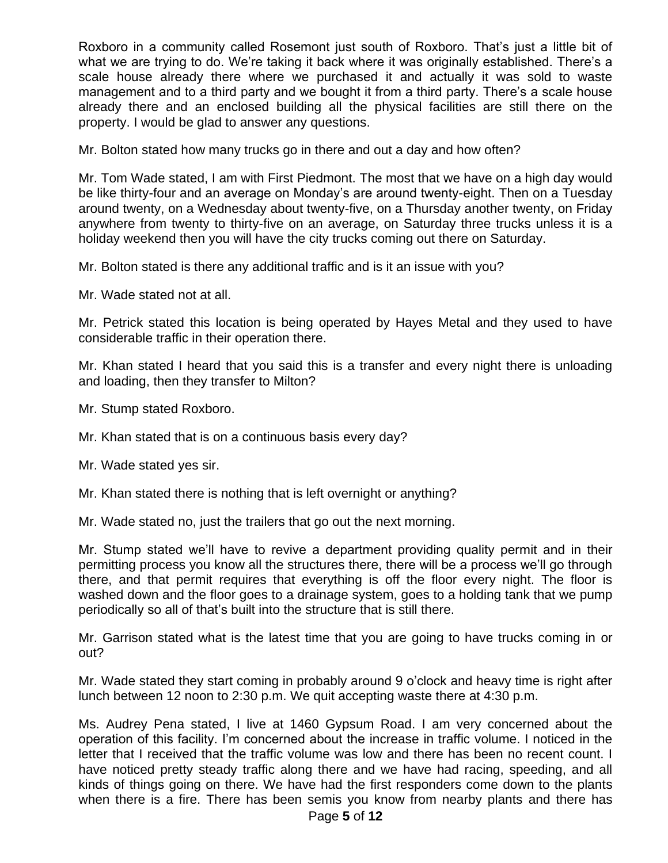Roxboro in a community called Rosemont just south of Roxboro. That's just a little bit of what we are trying to do. We're taking it back where it was originally established. There's a scale house already there where we purchased it and actually it was sold to waste management and to a third party and we bought it from a third party. There's a scale house already there and an enclosed building all the physical facilities are still there on the property. I would be glad to answer any questions.

Mr. Bolton stated how many trucks go in there and out a day and how often?

Mr. Tom Wade stated, I am with First Piedmont. The most that we have on a high day would be like thirty-four and an average on Monday's are around twenty-eight. Then on a Tuesday around twenty, on a Wednesday about twenty-five, on a Thursday another twenty, on Friday anywhere from twenty to thirty-five on an average, on Saturday three trucks unless it is a holiday weekend then you will have the city trucks coming out there on Saturday.

Mr. Bolton stated is there any additional traffic and is it an issue with you?

Mr. Wade stated not at all.

Mr. Petrick stated this location is being operated by Hayes Metal and they used to have considerable traffic in their operation there.

Mr. Khan stated I heard that you said this is a transfer and every night there is unloading and loading, then they transfer to Milton?

Mr. Stump stated Roxboro.

Mr. Khan stated that is on a continuous basis every day?

Mr. Wade stated yes sir.

Mr. Khan stated there is nothing that is left overnight or anything?

Mr. Wade stated no, just the trailers that go out the next morning.

Mr. Stump stated we'll have to revive a department providing quality permit and in their permitting process you know all the structures there, there will be a process we'll go through there, and that permit requires that everything is off the floor every night. The floor is washed down and the floor goes to a drainage system, goes to a holding tank that we pump periodically so all of that's built into the structure that is still there.

Mr. Garrison stated what is the latest time that you are going to have trucks coming in or out?

Mr. Wade stated they start coming in probably around 9 o'clock and heavy time is right after lunch between 12 noon to 2:30 p.m. We quit accepting waste there at 4:30 p.m.

Ms. Audrey Pena stated, I live at 1460 Gypsum Road. I am very concerned about the operation of this facility. I'm concerned about the increase in traffic volume. I noticed in the letter that I received that the traffic volume was low and there has been no recent count. I have noticed pretty steady traffic along there and we have had racing, speeding, and all kinds of things going on there. We have had the first responders come down to the plants when there is a fire. There has been semis you know from nearby plants and there has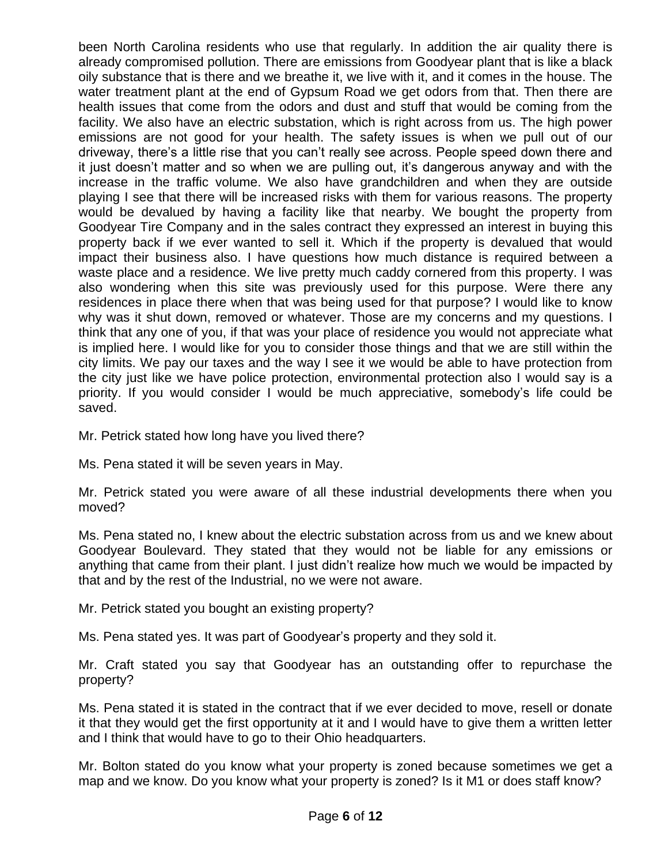been North Carolina residents who use that regularly. In addition the air quality there is already compromised pollution. There are emissions from Goodyear plant that is like a black oily substance that is there and we breathe it, we live with it, and it comes in the house. The water treatment plant at the end of Gypsum Road we get odors from that. Then there are health issues that come from the odors and dust and stuff that would be coming from the facility. We also have an electric substation, which is right across from us. The high power emissions are not good for your health. The safety issues is when we pull out of our driveway, there's a little rise that you can't really see across. People speed down there and it just doesn't matter and so when we are pulling out, it's dangerous anyway and with the increase in the traffic volume. We also have grandchildren and when they are outside playing I see that there will be increased risks with them for various reasons. The property would be devalued by having a facility like that nearby. We bought the property from Goodyear Tire Company and in the sales contract they expressed an interest in buying this property back if we ever wanted to sell it. Which if the property is devalued that would impact their business also. I have questions how much distance is required between a waste place and a residence. We live pretty much caddy cornered from this property. I was also wondering when this site was previously used for this purpose. Were there any residences in place there when that was being used for that purpose? I would like to know why was it shut down, removed or whatever. Those are my concerns and my questions. I think that any one of you, if that was your place of residence you would not appreciate what is implied here. I would like for you to consider those things and that we are still within the city limits. We pay our taxes and the way I see it we would be able to have protection from the city just like we have police protection, environmental protection also I would say is a priority. If you would consider I would be much appreciative, somebody's life could be saved.

Mr. Petrick stated how long have you lived there?

Ms. Pena stated it will be seven years in May.

Mr. Petrick stated you were aware of all these industrial developments there when you moved?

Ms. Pena stated no, I knew about the electric substation across from us and we knew about Goodyear Boulevard. They stated that they would not be liable for any emissions or anything that came from their plant. I just didn't realize how much we would be impacted by that and by the rest of the Industrial, no we were not aware.

Mr. Petrick stated you bought an existing property?

Ms. Pena stated yes. It was part of Goodyear's property and they sold it.

Mr. Craft stated you say that Goodyear has an outstanding offer to repurchase the property?

Ms. Pena stated it is stated in the contract that if we ever decided to move, resell or donate it that they would get the first opportunity at it and I would have to give them a written letter and I think that would have to go to their Ohio headquarters.

Mr. Bolton stated do you know what your property is zoned because sometimes we get a map and we know. Do you know what your property is zoned? Is it M1 or does staff know?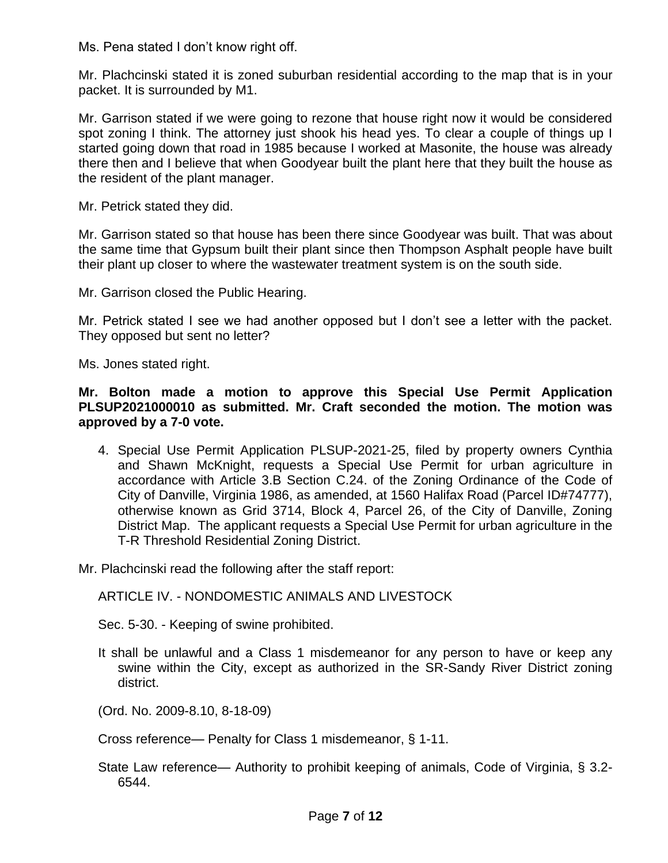Ms. Pena stated I don't know right off.

Mr. Plachcinski stated it is zoned suburban residential according to the map that is in your packet. It is surrounded by M1.

Mr. Garrison stated if we were going to rezone that house right now it would be considered spot zoning I think. The attorney just shook his head yes. To clear a couple of things up I started going down that road in 1985 because I worked at Masonite, the house was already there then and I believe that when Goodyear built the plant here that they built the house as the resident of the plant manager.

Mr. Petrick stated they did.

Mr. Garrison stated so that house has been there since Goodyear was built. That was about the same time that Gypsum built their plant since then Thompson Asphalt people have built their plant up closer to where the wastewater treatment system is on the south side.

Mr. Garrison closed the Public Hearing.

Mr. Petrick stated I see we had another opposed but I don't see a letter with the packet. They opposed but sent no letter?

Ms. Jones stated right.

**Mr. Bolton made a motion to approve this Special Use Permit Application PLSUP2021000010 as submitted. Mr. Craft seconded the motion. The motion was approved by a 7-0 vote.**

4. Special Use Permit Application PLSUP-2021-25, filed by property owners Cynthia and Shawn McKnight, requests a Special Use Permit for urban agriculture in accordance with Article 3.B Section C.24. of the Zoning Ordinance of the Code of City of Danville, Virginia 1986, as amended, at 1560 Halifax Road (Parcel ID#74777), otherwise known as Grid 3714, Block 4, Parcel 26, of the City of Danville, Zoning District Map. The applicant requests a Special Use Permit for urban agriculture in the T-R Threshold Residential Zoning District.

Mr. Plachcinski read the following after the staff report:

ARTICLE IV. - NONDOMESTIC ANIMALS AND LIVESTOCK

Sec. 5-30. - Keeping of swine prohibited.

It shall be unlawful and a Class 1 misdemeanor for any person to have or keep any swine within the City, except as authorized in the SR-Sandy River District zoning district.

(Ord. No. 2009-8.10, 8-18-09)

Cross reference— Penalty for Class 1 misdemeanor, § 1-11.

State Law reference— Authority to prohibit keeping of animals, Code of Virginia, § 3.2- 6544.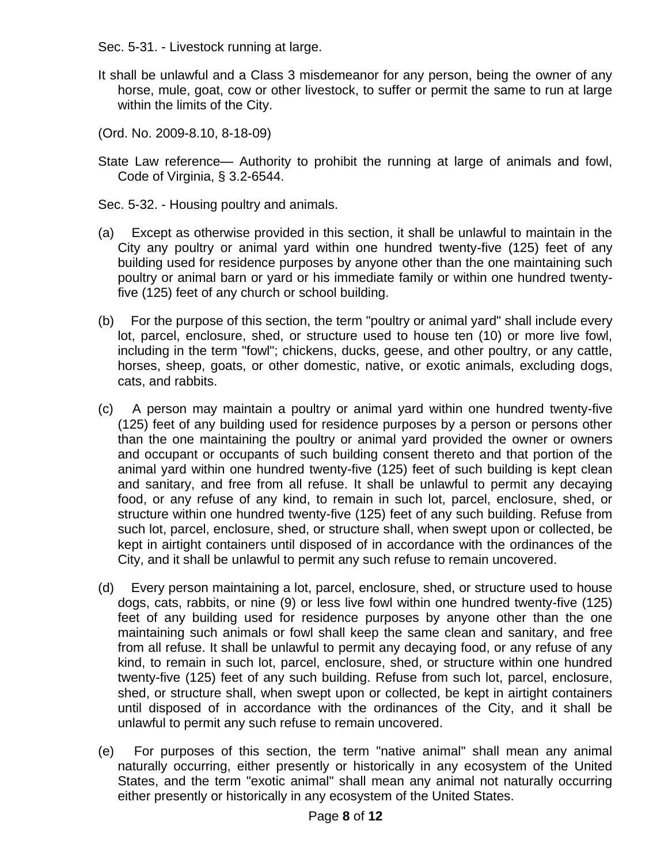Sec. 5-31. - Livestock running at large.

- It shall be unlawful and a Class 3 misdemeanor for any person, being the owner of any horse, mule, goat, cow or other livestock, to suffer or permit the same to run at large within the limits of the City.
- (Ord. No. 2009-8.10, 8-18-09)
- State Law reference— Authority to prohibit the running at large of animals and fowl, Code of Virginia, § 3.2-6544.
- Sec. 5-32. Housing poultry and animals.
- (a) Except as otherwise provided in this section, it shall be unlawful to maintain in the City any poultry or animal yard within one hundred twenty-five (125) feet of any building used for residence purposes by anyone other than the one maintaining such poultry or animal barn or yard or his immediate family or within one hundred twentyfive (125) feet of any church or school building.
- (b) For the purpose of this section, the term "poultry or animal yard" shall include every lot, parcel, enclosure, shed, or structure used to house ten (10) or more live fowl, including in the term "fowl"; chickens, ducks, geese, and other poultry, or any cattle, horses, sheep, goats, or other domestic, native, or exotic animals, excluding dogs, cats, and rabbits.
- (c) A person may maintain a poultry or animal yard within one hundred twenty-five (125) feet of any building used for residence purposes by a person or persons other than the one maintaining the poultry or animal yard provided the owner or owners and occupant or occupants of such building consent thereto and that portion of the animal yard within one hundred twenty-five (125) feet of such building is kept clean and sanitary, and free from all refuse. It shall be unlawful to permit any decaying food, or any refuse of any kind, to remain in such lot, parcel, enclosure, shed, or structure within one hundred twenty-five (125) feet of any such building. Refuse from such lot, parcel, enclosure, shed, or structure shall, when swept upon or collected, be kept in airtight containers until disposed of in accordance with the ordinances of the City, and it shall be unlawful to permit any such refuse to remain uncovered.
- (d) Every person maintaining a lot, parcel, enclosure, shed, or structure used to house dogs, cats, rabbits, or nine (9) or less live fowl within one hundred twenty-five (125) feet of any building used for residence purposes by anyone other than the one maintaining such animals or fowl shall keep the same clean and sanitary, and free from all refuse. It shall be unlawful to permit any decaying food, or any refuse of any kind, to remain in such lot, parcel, enclosure, shed, or structure within one hundred twenty-five (125) feet of any such building. Refuse from such lot, parcel, enclosure, shed, or structure shall, when swept upon or collected, be kept in airtight containers until disposed of in accordance with the ordinances of the City, and it shall be unlawful to permit any such refuse to remain uncovered.
- (e) For purposes of this section, the term "native animal" shall mean any animal naturally occurring, either presently or historically in any ecosystem of the United States, and the term "exotic animal" shall mean any animal not naturally occurring either presently or historically in any ecosystem of the United States.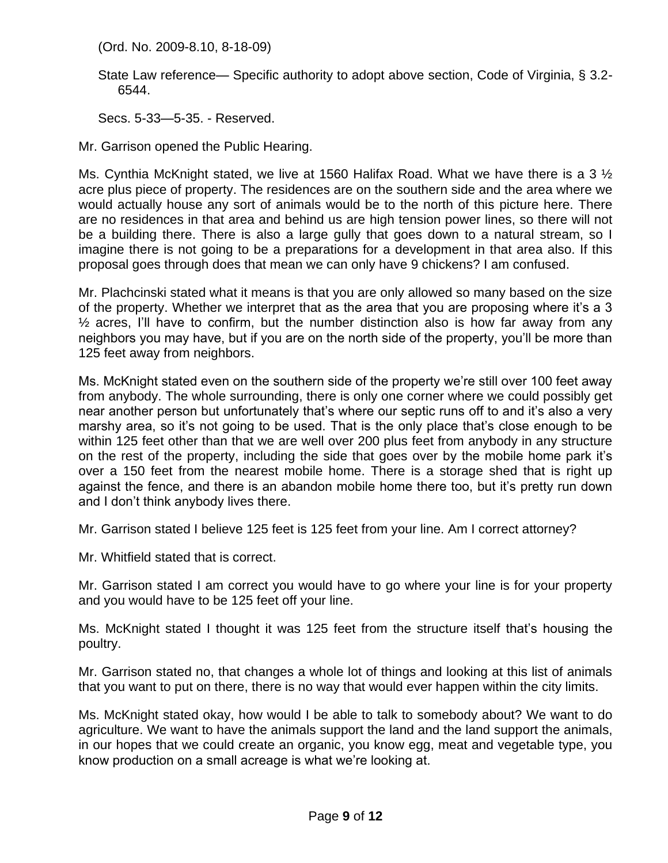(Ord. No. 2009-8.10, 8-18-09)

State Law reference— Specific authority to adopt above section, Code of Virginia, § 3.2- 6544.

Secs. 5-33—5-35. - Reserved.

Mr. Garrison opened the Public Hearing.

Ms. Cynthia McKnight stated, we live at 1560 Halifax Road. What we have there is a 3  $\frac{1}{2}$ acre plus piece of property. The residences are on the southern side and the area where we would actually house any sort of animals would be to the north of this picture here. There are no residences in that area and behind us are high tension power lines, so there will not be a building there. There is also a large gully that goes down to a natural stream, so I imagine there is not going to be a preparations for a development in that area also. If this proposal goes through does that mean we can only have 9 chickens? I am confused.

Mr. Plachcinski stated what it means is that you are only allowed so many based on the size of the property. Whether we interpret that as the area that you are proposing where it's a 3  $\frac{1}{2}$  acres, I'll have to confirm, but the number distinction also is how far away from any neighbors you may have, but if you are on the north side of the property, you'll be more than 125 feet away from neighbors.

Ms. McKnight stated even on the southern side of the property we're still over 100 feet away from anybody. The whole surrounding, there is only one corner where we could possibly get near another person but unfortunately that's where our septic runs off to and it's also a very marshy area, so it's not going to be used. That is the only place that's close enough to be within 125 feet other than that we are well over 200 plus feet from anybody in any structure on the rest of the property, including the side that goes over by the mobile home park it's over a 150 feet from the nearest mobile home. There is a storage shed that is right up against the fence, and there is an abandon mobile home there too, but it's pretty run down and I don't think anybody lives there.

Mr. Garrison stated I believe 125 feet is 125 feet from your line. Am I correct attorney?

Mr. Whitfield stated that is correct.

Mr. Garrison stated I am correct you would have to go where your line is for your property and you would have to be 125 feet off your line.

Ms. McKnight stated I thought it was 125 feet from the structure itself that's housing the poultry.

Mr. Garrison stated no, that changes a whole lot of things and looking at this list of animals that you want to put on there, there is no way that would ever happen within the city limits.

Ms. McKnight stated okay, how would I be able to talk to somebody about? We want to do agriculture. We want to have the animals support the land and the land support the animals, in our hopes that we could create an organic, you know egg, meat and vegetable type, you know production on a small acreage is what we're looking at.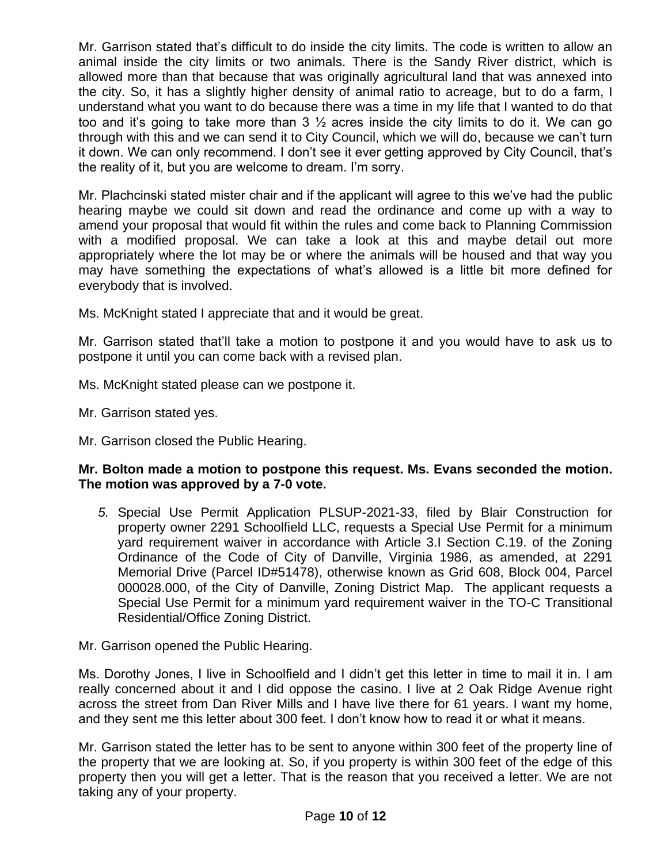Mr. Garrison stated that's difficult to do inside the city limits. The code is written to allow an animal inside the city limits or two animals. There is the Sandy River district, which is allowed more than that because that was originally agricultural land that was annexed into the city. So, it has a slightly higher density of animal ratio to acreage, but to do a farm, I understand what you want to do because there was a time in my life that I wanted to do that too and it's going to take more than 3  $\frac{1}{2}$  acres inside the city limits to do it. We can go through with this and we can send it to City Council, which we will do, because we can't turn it down. We can only recommend. I don't see it ever getting approved by City Council, that's the reality of it, but you are welcome to dream. I'm sorry.

Mr. Plachcinski stated mister chair and if the applicant will agree to this we've had the public hearing maybe we could sit down and read the ordinance and come up with a way to amend your proposal that would fit within the rules and come back to Planning Commission with a modified proposal. We can take a look at this and maybe detail out more appropriately where the lot may be or where the animals will be housed and that way you may have something the expectations of what's allowed is a little bit more defined for everybody that is involved.

Ms. McKnight stated I appreciate that and it would be great.

Mr. Garrison stated that'll take a motion to postpone it and you would have to ask us to postpone it until you can come back with a revised plan.

Ms. McKnight stated please can we postpone it.

- Mr. Garrison stated yes.
- Mr. Garrison closed the Public Hearing.

## **Mr. Bolton made a motion to postpone this request. Ms. Evans seconded the motion. The motion was approved by a 7-0 vote.**

*5.* Special Use Permit Application PLSUP-2021-33, filed by Blair Construction for property owner 2291 Schoolfield LLC, requests a Special Use Permit for a minimum yard requirement waiver in accordance with Article 3.I Section C.19. of the Zoning Ordinance of the Code of City of Danville, Virginia 1986, as amended, at 2291 Memorial Drive (Parcel ID#51478), otherwise known as Grid 608, Block 004, Parcel 000028.000, of the City of Danville, Zoning District Map. The applicant requests a Special Use Permit for a minimum yard requirement waiver in the TO-C Transitional Residential/Office Zoning District.

## Mr. Garrison opened the Public Hearing.

Ms. Dorothy Jones, I live in Schoolfield and I didn't get this letter in time to mail it in. I am really concerned about it and I did oppose the casino. I live at 2 Oak Ridge Avenue right across the street from Dan River Mills and I have live there for 61 years. I want my home, and they sent me this letter about 300 feet. I don't know how to read it or what it means.

Mr. Garrison stated the letter has to be sent to anyone within 300 feet of the property line of the property that we are looking at. So, if you property is within 300 feet of the edge of this property then you will get a letter. That is the reason that you received a letter. We are not taking any of your property.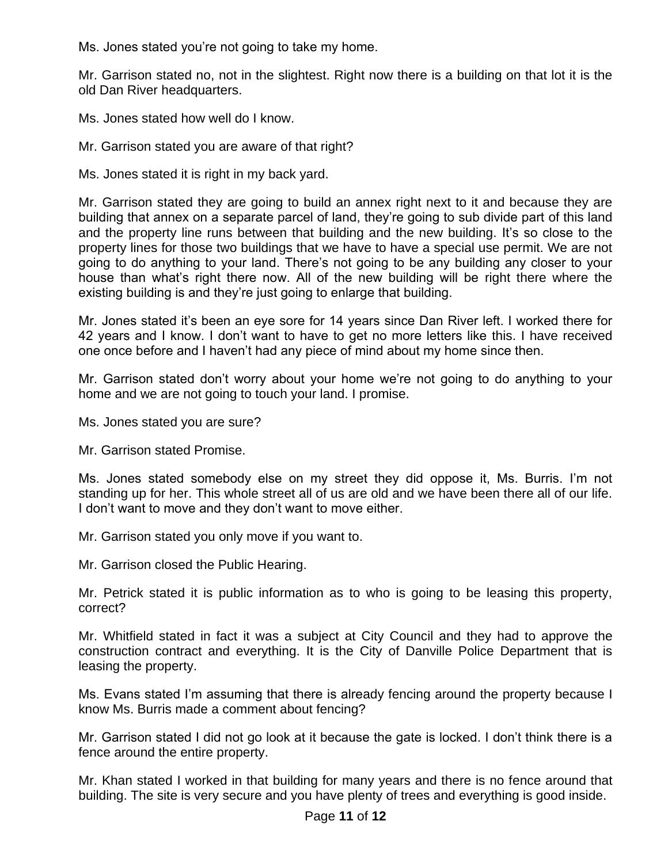Ms. Jones stated you're not going to take my home.

Mr. Garrison stated no, not in the slightest. Right now there is a building on that lot it is the old Dan River headquarters.

Ms. Jones stated how well do I know.

Mr. Garrison stated you are aware of that right?

Ms. Jones stated it is right in my back yard.

Mr. Garrison stated they are going to build an annex right next to it and because they are building that annex on a separate parcel of land, they're going to sub divide part of this land and the property line runs between that building and the new building. It's so close to the property lines for those two buildings that we have to have a special use permit. We are not going to do anything to your land. There's not going to be any building any closer to your house than what's right there now. All of the new building will be right there where the existing building is and they're just going to enlarge that building.

Mr. Jones stated it's been an eye sore for 14 years since Dan River left. I worked there for 42 years and I know. I don't want to have to get no more letters like this. I have received one once before and I haven't had any piece of mind about my home since then.

Mr. Garrison stated don't worry about your home we're not going to do anything to your home and we are not going to touch your land. I promise.

Ms. Jones stated you are sure?

Mr. Garrison stated Promise.

Ms. Jones stated somebody else on my street they did oppose it, Ms. Burris. I'm not standing up for her. This whole street all of us are old and we have been there all of our life. I don't want to move and they don't want to move either.

Mr. Garrison stated you only move if you want to.

Mr. Garrison closed the Public Hearing.

Mr. Petrick stated it is public information as to who is going to be leasing this property, correct?

Mr. Whitfield stated in fact it was a subject at City Council and they had to approve the construction contract and everything. It is the City of Danville Police Department that is leasing the property.

Ms. Evans stated I'm assuming that there is already fencing around the property because I know Ms. Burris made a comment about fencing?

Mr. Garrison stated I did not go look at it because the gate is locked. I don't think there is a fence around the entire property.

Mr. Khan stated I worked in that building for many years and there is no fence around that building. The site is very secure and you have plenty of trees and everything is good inside.